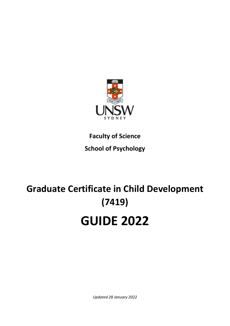

**Faculty of Science School of Psychology**

# **Graduate Certificate in Child Development (7419) GUIDE 2022**

*Updated 28 January 2022*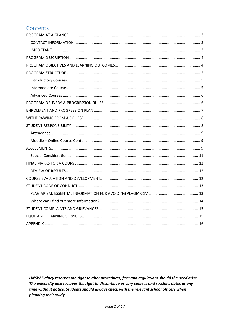# Contents

UNSW Sydney reserves the right to alter procedures, fees and regulations should the need arise. The university also reserves the right to discontinue or vary courses and sessions dates at any time without notice. Students should always check with the relevant school officers when planning their study.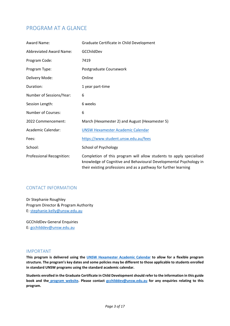## <span id="page-2-0"></span>PROGRAM AT A GLANCE

| Award Name:                      | Graduate Certificate in Child Development                                                                                                                                                                     |  |  |  |  |
|----------------------------------|---------------------------------------------------------------------------------------------------------------------------------------------------------------------------------------------------------------|--|--|--|--|
| <b>Abbreviated Award Name:</b>   | GCChildDev                                                                                                                                                                                                    |  |  |  |  |
| Program Code:                    | 7419                                                                                                                                                                                                          |  |  |  |  |
| Program Type:                    | Postgraduate Coursework                                                                                                                                                                                       |  |  |  |  |
| Delivery Mode:                   | Online                                                                                                                                                                                                        |  |  |  |  |
| Duration:                        | 1 year part-time                                                                                                                                                                                              |  |  |  |  |
| Number of Sessions/Year:         | 6                                                                                                                                                                                                             |  |  |  |  |
| Session Length:                  | 6 weeks                                                                                                                                                                                                       |  |  |  |  |
| <b>Number of Courses:</b>        | 6                                                                                                                                                                                                             |  |  |  |  |
| 2022 Commencement:               | March (Hexamester 2) and August (Hexamester 5)                                                                                                                                                                |  |  |  |  |
| Academic Calendar:               | <b>UNSW Hexamester Academic Calendar</b>                                                                                                                                                                      |  |  |  |  |
| Fees:                            | https://www.student.unsw.edu.au/fees                                                                                                                                                                          |  |  |  |  |
| School:                          | School of Psychology                                                                                                                                                                                          |  |  |  |  |
| <b>Professional Recognition:</b> | Completion of this program will allow students to apply specialised<br>knowledge of Cognitive and Behavioural Developmental Psychology in<br>their existing professions and as a pathway for further learning |  |  |  |  |

#### <span id="page-2-1"></span>CONTACT INFORMATION

Dr Stephanie Roughley Program Director & Program Authority E: [stephanie.kelly@unsw.edu.au](mailto:stephanie.kelly@unsw.edu.au)

GCChildDev General Enquiries E: [gcchilddev@unsw.edu.au](mailto:gcchilddev@unsw.edu.au)

#### <span id="page-2-2"></span>IMPORTANT

**This program is delivered using the [UNSW Hexamester Academic Calendar](https://www.student.unsw.edu.au/dates/hexamester) to allow for a flexible program structure. The program's key dates and some policies may be different to those applicable to students enrolled in standard UNSW programs using the standard academic calendar.**

**Students enrolled in the Graduate Certificate in Child Developmentshould refer to the information in this guide book and the [program website.](https://www.psy.unsw.edu.au/future-students/graduate-certificate-child-development/overview) Please contact [gcchilddev@unsw.edu.au](mailto:gcchilddev@unsw.edu.au) for any enquiries relating to this program.**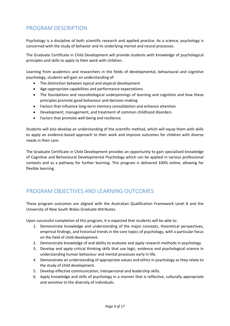## <span id="page-3-0"></span>PROGRAM DESCRIPTION

Psychology is a discipline of both scientific research and applied practice. As a science, psychology is concerned with the study of behavior and its underlying mental and neural processes.

The Graduate Certificate in Child Development will provide students with knowledge of psychological principles and skills to apply to their work with children.

Learning from academics and researchers in the fields of developmental, behavioural and cognitive psychology, students will gain an understanding of:

- The distinction between typical and atypical development
- Age-appropriate capabilities and performance expectations
- The foundations and neurobiological underpinnings of learning and cognition and how these principles promote good behaviour and decision-making
- Factors that influence long-term memory consolidation and enhance attention
- Development, management, and treatment of common childhood disorders
- Factors that promote well-being and resilience.

Students will also develop an understanding of the scientific method, which will equip them with skills to apply an evidence-based approach to their work and improve outcomes for children with diverse needs in their care.

The Graduate Certificate in Child Development provides an opportunity to gain specialised knowledge of Cognitive and Behavioural Developmental Psychology which can be applied in various professional contexts and as a pathway for further learning. This program is delivered 100% online, allowing for flexible learning.

## <span id="page-3-1"></span>PROGRAM OBJECTIVES AND LEARNING OUTCOMES

These program outcomes are aligned with the Australian Qualification Framework Level 8 and the University of New South Wales Graduate Attributes.

Upon successful completion of this program, it is expected that students will be able to:

- 1. Demonstrate knowledge and understanding of the major concepts, theoretical perspectives, empirical findings, and historical trends in the core topics of psychology, with a particular focus on the field of child development.
- 2. Demonstrate knowledge of and ability to evaluate and apply research methods in psychology.
- 3. Develop and apply critical thinking skills that use logic, evidence and psychological science in understanding human behaviour and mental processes early in life.
- 4. Demonstrate an understanding of appropriate values and ethics in psychology as they relate to the study of child development.
- 5. Develop effective communication, interpersonal and leadership skills.
- 6. Apply knowledge and skills of psychology in a manner that is reflective, culturally appropriate and sensitive to the diversity of individuals.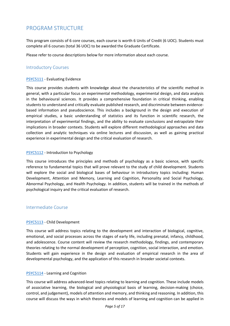## <span id="page-4-0"></span>PROGRAM STRUCTURE

This program consists of 6 core courses, each course is worth 6 Units of Credit (6 UOC). Students must complete all 6 courses (total 36 UOC) to be awarded the Graduate Certificate.

Please refer to course descriptions below for more information about each course.

#### <span id="page-4-1"></span>Introductory Courses

#### [PSYC5111](https://www.handbook.unsw.edu.au/postgraduate/courses/2022/PSYC5111) - Evaluating Evidence

This course provides students with knowledge about the characteristics of the scientific method in general, with a particular focus on experimental methodology, experimental design, and data analysis in the behavioural sciences. It provides a comprehensive foundation in critical thinking, enabling students to understand and critically evaluate published research, and discriminate between evidencebased information and pseudoscience. This includes a background in the design and execution of empirical studies, a basic understanding of statistics and its function in scientific research, the interpretation of experimental findings, and the ability to evaluate conclusions and extrapolate their implications in broader contexts. Students will explore different methodological approaches and data collection and analytic techniques via online lectures and discussion, as well as gaining practical experience in experimental design and the critical evaluation of research.

#### [PSYC5112](https://www.handbook.unsw.edu.au/postgraduate/courses/2022/PSYC5112) - Introduction to Psychology

This course introduces the principles and methods of psychology as a basic science, with specific reference to fundamental topics that will prove relevant to the study of child development. Students will explore the social and biological bases of behaviour in introductory topics including: Human Development, Attention and Memory, Learning and Cognition, Personality and Social Psychology, Abnormal Psychology, and Health Psychology. In addition, students will be trained in the methods of psychological inquiry and the critical evaluation of research.

#### <span id="page-4-2"></span>Intermediate Course

#### [PSYC5113](https://www.handbook.unsw.edu.au/postgraduate/courses/2022/PSYC5113) - Child Development

This course will address topics relating to the development and interaction of biological, cognitive, emotional, and social processes across the stages of early life, including prenatal, infancy, childhood, and adolescence. Course content will review the research methodology, findings, and contemporary theories relating to the normal development of perception, cognition, social interaction, and emotion. Students will gain experience in the design and evaluation of empirical research in the area of developmental psychology, and the application of this research in broader societal contexts.

#### [PSYC5114](https://www.handbook.unsw.edu.au/postgraduate/courses/2022/PSYC5114) - Learning and Cognition

This course will address advanced-level topics relating to learning and cognition. These include models of associative learning, the biological and physiological basis of learning, decision-making (choice, control, and judgement), models of attention and memory, and thinking and reasoning. In addition, this course will discuss the ways in which theories and models of learning and cognition can be applied in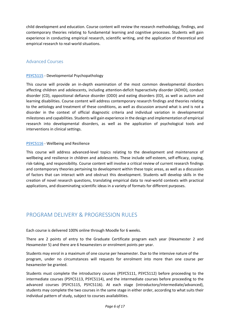child development and education. Course content will review the research methodology, findings, and contemporary theories relating to fundamental learning and cognitive processes. Students will gain experience in conducting empirical research, scientific writing, and the application of theoretical and empirical research to real-world situations.

#### <span id="page-5-0"></span>Advanced Courses

#### [PSYC5115](https://www.handbook.unsw.edu.au/postgraduate/courses/2022/PSYC5115) - Developmental Psychopathology

This course will provide an in-depth examination of the most common developmental disorders affecting children and adolescents, including attention-deficit hyperactivity disorder (ADHD), conduct disorder (CD), oppositional defiance disorder (ODD) and eating disorders (ED), as well as autism and learning disabilities. Course content will address contemporary research findings and theories relating to the aetiology and treatment of these conditions, as well as discussion around what is and is not a disorder in the context of official diagnostic criteria and individual variation in developmental milestones and capabilities. Students will gain experience in the design and implementation of empirical research into developmental disorders, as well as the application of psychological tools and interventions in clinical settings.

#### [PSYC5116](https://www.handbook.unsw.edu.au/postgraduate/courses/2022/PSYC5116) - Wellbeing and Resilience

This course will address advanced-level topics relating to the development and maintenance of wellbeing and resilience in children and adolescents. These include self-esteem, self-efficacy, coping, risk-taking, and responsibility. Course content will involve a critical review of current research findings and contemporary theories pertaining to development within these topic areas, as well as a discussion of factors that can interact with and obstruct this development. Students will develop skills in the creation of novel research questions, translating empirical data to real-world contexts with practical applications, and disseminating scientific ideas in a variety of formats for different purposes.

## <span id="page-5-1"></span>PROGRAM DELIVERY & PROGRESSION RULES

Each course is delivered 100% online through Moodle for 6 weeks.

There are 2 points of entry to the Graduate Certificate program each year (Hexamester 2 and Hexamester 5) and there are 6 hexamesters or enrolment points per year.

Students may enrol in a maximum of one course per hexamester. Due to the intensive nature of the program, under no circumstances will requests for enrolment into more than one course per hexamester be granted.

Students must complete the introductory courses (PSYC5111, PSYC5112) before proceeding to the intermediate courses (PSYC5113, PSYC5114), and the intermediate courses before proceeding to the advanced courses (PSYC5115, PSYC5116). At each stage (introductory/intermediate/advanced), students may complete the two courses in the same stage in either order, according to what suits their individual pattern of study, subject to courses availabilities.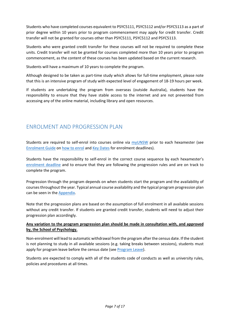Students who have completed courses equivalent to PSYC5111, PSYC5112 and/or PSYC5113 as a part of prior degree within 10 years prior to program commencement may apply for credit transfer. Credit transfer will not be granted for courses other than PSYC5111, PSYC5112 and PSYC5113.

Students who were granted credit transfer for these courses will not be required to complete these units. Credit transfer will not be granted for courses completed more than 10 years prior to program commencement, as the content of these courses has been updated based on the current research.

Students will have a maximum of 10 years to complete the program.

Although designed to be taken as part-time study which allows for full-time employment, please note that this is an intensive program of study with expected level of engagement of 18-19 hours per week.

If students are undertaking the program from overseas (outside Australia), students have the responsibility to ensure that they have stable access to the internet and are not prevented from accessing any of the online material, including library and open resources.

## <span id="page-6-0"></span>ENROLMENT AND PROGRESSION PLAN

Students are required to self-enrol into courses online via [myUNSW](https://my.unsw.edu.au/) prior to each hexamester (see [Enrolment Guide](https://www.student.unsw.edu.au/enrol/annual) o[n how to enrol](https://www.student.unsw.edu.au/sites/default/files/uploads/group136/PGROenrolment.pdf) an[d Key Dates](https://www.psy.unsw.edu.au/future-students/graduate-certificate-child-development/7419-key-dates) for enrolment deadlines).

Students have the responsibility to self-enrol in the correct course sequence by each hexamester's [enrolment deadline](https://www.psy.unsw.edu.au/future-students/graduate-certificate-child-development/7419-key-dates) and to ensure that they are following the progression rules and are on track to complete the program.

Progression through the program depends on when students start the program and the availability of courses throughout the year. Typical annual course availability and the typical program progression plan can be seen in the [Appendix.](#page-15-0)

Note that the progression plans are based on the assumption of full enrolment in all available sessions without any credit transfer. If students are granted credit transfer, students will need to adjust their progression plan accordingly.

#### **Any variation to the program progression plan should be made in consultation with, and approved by, the School of Psychology.**

Non-enrolment will lead to automatic withdrawal from the program after the census date. If the student is not planning to study in all available sessions (e.g. taking breaks between sessions), students must apply for program leave before the census date (se[e Program Leave\)](https://www.student.unsw.edu.au/program-leave).

Students are expected to comply with all of the students code of conducts as well as university rules, policies and procedures at all times.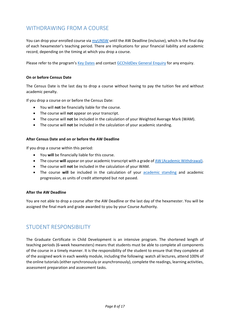## <span id="page-7-0"></span>WITHDRAWING FROM A COURSE

You can drop your enrolled course vi[a myUNSW](https://my.unsw.edu.au/) until the AW Deadline (inclusive), which is the final day of each hexamester's teaching period. There are implications for your financial liability and academic record, depending on the timing at which you drop a course.

Please refer to the program's [Key Dates](https://www.psy.unsw.edu.au/future-students/graduate-certificate-child-development/7419-key-dates) and contact [GCChildDev General Enquiry](mailto:gcchilddev@unsw.edu.au) for any enquiry.

#### **On or before Census Date**

The Census Date is the last day to drop a course without having to pay the tuition fee and without academic penalty.

If you drop a course on or before the Census Date:

- You will **not** be financially liable for the course.
- The course will **not** appear on your transcript.
- The course will **not** be included in the calculation of your Weighted Average Mark (WAM).
- The course will **not** be included in the calculation of your academic standing.

#### **After Census Date and on or before the AW Deadline**

If you drop a course within this period:

- You **will** be financially liable for this course.
- The course will appear on your academic transcript with a grade o[f AW \(Academic Withdrawal\).](https://www.student.unsw.edu.au/grade)
- The course will **not** be included in the calculation of your WAM.
- The course **will** be included in the calculation of your [academic standing](https://www.student.unsw.edu.au/academic-standing-postgrad) and academic progression, as units of credit attempted but not passed.

#### **After the AW Deadline**

You are not able to drop a course after the AW Deadline or the last day of the hexamester. You will be assigned the final mark and grade awarded to you by your Course Authority.

## <span id="page-7-1"></span>STUDENT RESPONSIBILITY

The Graduate Certificate in Child Development is an intensive program. The shortened length of teaching periods (6-week hexamesters) means that students must be able to complete all components of the course in a timely manner. It is the responsibility of the student to ensure that they complete all of the assigned work in each weekly module, including the following: watch all lectures, attend 100% of the online tutorials (either synchronously or asynchronously), complete the readings, learning activities, assessment preparation and assessment tasks.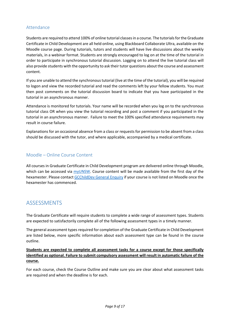#### <span id="page-8-0"></span>Attendance

Students are required to attend 100% of online tutorial classesin a course. The tutorials for the Graduate Certificate in Child Development are all held online, using Blackboard Collaborate Ultra, available on the Moodle course page. During tutorials, tutors and students will have live discussions about the weekly materials, in a webinar format. Students are strongly encouraged to log on at the time of the tutorial in order to participate in synchronous tutorial discussion. Logging on to attend the live tutorial class will also provide students with the opportunity to ask their tutor questions about the course and assessment content.

If you are unable to attend the synchronous tutorial (live at the time of the tutorial), you will be required to logon and view the recorded tutorial and read the comments left by your fellow students. You must then post comments on the tutorial discussion board to indicate that you have participated in the tutorial in an asynchronous manner.

Attendance is monitored for tutorials. Your name will be recorded when you log on to the synchronous tutorial class OR when you view the tutorial recording and post a comment if you participated in the tutorial in an asynchronous manner. Failure to meet the 100% specified attendance requirements may result in course failure.

Explanations for an occasional absence from a class or requests for permission to be absent from a class should be discussed with the tutor, and where applicable, accompanied by a medical certificate.

#### <span id="page-8-1"></span>Moodle – Online Course Content

All courses in Graduate Certificate in Child Development program are delivered online through Moodle, which can be accessed via [myUNSW.](https://my.unsw.edu.au/) Course content will be made available from the first day of the hexamester. Please contac[t GCChildDev General Enquiry](mailto:gcchilddev@unsw.edu.au) if your course is not listed on Moodle once the hexamester has commenced.

## <span id="page-8-2"></span>**ASSESSMENTS**

The Graduate Certificate will require students to complete a wide range of assessment types. Students are expected to satisfactorily complete all of the following assessment types in a timely manner.

The general assessment types required for completion of the Graduate Certificate in Child Development are listed below, more specific information about each assessment type can be found in the course outline.

#### **Students are expected to complete all assessment tasks for a course except for those specifically identified as optional. Failure to submit compulsory assessment will result in automatic failure of the course.**

For each course, check the Course Outline and make sure you are clear about what assessment tasks are required and when the deadline is for each.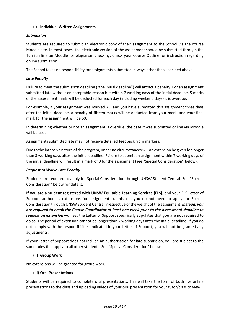#### **(i) Individual Written Assignments**

#### *Submission*

Students are required to submit an electronic copy of their assignment to the School via the course Moodle site. In most cases, the electronic version of the assignment should be submitted through the Turnitin link on Moodle for plagiarism checking. Check your Course Outline for instruction regarding online submission.

The School takes no responsibility for assignments submitted in ways other than specified above.

#### *Late Penalty*

Failure to meet the submission deadline ("the initial deadline") will attract a penalty. For an assignment submitted late without an acceptable reason but within 7 working days of the initial deadline, 5 marks of the assessment mark will be deducted for each day (including weekend days) it is overdue.

For example, if your assignment was marked 75, and you have submitted this assignment three days after the initial deadline, a penalty of fifteen marks will be deducted from your mark, and your final mark for the assignment will be 60.

In determining whether or not an assignment is overdue, the date it was submitted online via Moodle will be used.

Assignments submitted late may not receive detailed feedback from markers.

Due to the intensive nature of the program, under no circumstances will an extension be given for longer than 3 working days after the initial deadline. Failure to submit an assignment within 7 working days of the initial deadline will result in a mark of 0 for the assignment (see "Special Consideration" below).

#### *Request to Waive Late Penalty*

Students are required to apply for Special Consideration through UNSW Student Central. See "Special Consideration" below for details.

**If you are a student registered with UNSW Equitable Learning Services (ELS)**, and your ELS Letter of Support authorises extensions for assignment submission, you do not need to apply for Special Consideration through UNSW Student Central irrespective of the weight of the assignment. *Instead, you are required to email the Course Coordinator at least one week prior to the assessment deadline to request an extension*—unless the Letter of Support specifically stipulates that you are not required to do so. The period of extension cannot be longer than 7 working days after the initial deadline. If you do not comply with the responsibilities indicated in your Letter of Support, you will not be granted any adjustments.

If your Letter of Support does not include an authorisation for late submission, you are subject to the same rules that apply to all other students. See "Special Consideration" below.

#### **(ii) Group Work**

No extensions will be granted for group work.

#### **(iii) Oral Presentations**

Students will be required to complete oral presentations. This will take the form of both live online presentations to the class and uploading videos of your oral presentation for your tutor/class to view.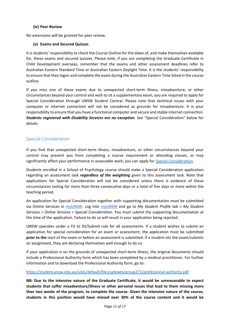#### **(iv) Peer Review**

No extensions will be granted for peer review.

#### **(v) Exams and Secured Quizzes**

It is students' responsibility to check the Course Outline for the dates of, and make themselves available for, these exams and secured quizzes. Please note, if you are completing the Graduate Certificate in Child Development overseas, remember that the exams and other assessment deadlines refer to Australian Eastern Standard Time or Australian Eastern Daylight Time. It is the students' responsibility to ensure that they logon and complete the exam during the Australian Eastern Time listed in the course outline.

If you miss one of these exams due to unexpected short-term illness, misadventure, or other circumstances beyond your control and wish to sit a supplementary exam, you are required to apply for Special Consideration through UNSW Student Central. Please note that technical issues with your computer or internet connection will not be considered as grounds for misadventure. It is your responsibility to ensure that you have a functional computer and secure and stable internet connection. *Students registered with Disability Services are no exception*. See "Special Consideration" below for details.

#### <span id="page-10-0"></span>Special Consideration

If you find that unexpected short-term illness, misadventure, or other circumstances beyond your control may prevent you from completing a course requirement or attending classes, or may significantly affect your performance in assessable work, you can apply for [Special Consideration.](https://www.student.unsw.edu.au/special-consideration)

Students enrolled in a School of Psychology course should make a Special Consideration application regarding an assessment task *regardless of the weighting* given to this assessment task. Note that applications for Special Consideration will not be considered unless there is evidence of these circumstances lasting for more than three consecutive days or a total of five days or more within the teaching period.

An application for Special Consideration together with supporting documentation must be submitted via Online Services in [myUNSW.](https://my.unsw.edu.au/) Log into [myUNSW](https://my.unsw.edu.au/) and go to *My Student Profile tab > My Student Services > Online Services > Special Consideration*. You must submit the supporting documentation at the time of the application. Failure to do so will result in your application being rejected.

UNSW operates under a Fit to Sit/Submit rule for all assessments. If a student wishes to submit an application for special consideration for an exam or assessment, the application must be submitted **prior to the** start of the exam or before an assessment is submitted. If a student sits the exam/submits an assignment, they are declaring themselves well enough to do so.

If your application is on the grounds of unexpected short-term illness, the original documents should include a Professional Authority form which has been completed by a medical practitioner. For further information and to download the Professional Authority form, go to:

#### <https://student.unsw.edu.au/sites/default/files/uploads/group271/professional-authority.pdf>

**NB: Due to the intensive nature of the Graduate Certificate, it would be unreasonable to expect students that suffer misadventure/illness or other personal issues that lead to them missing more than two weeks of the program, to complete the course. Given the intensive nature of the course, students in this position would have missed over 30% of the course content and it would be**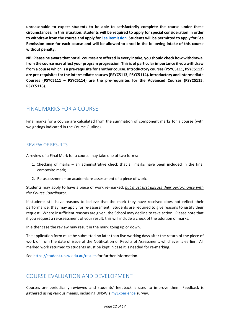**unreasonable to expect students to be able to satisfactorily complete the course under these circumstances. In this situation, students will be required to apply for special consideration in order to withdraw from the course and apply for [Fee Remission.](https://www.student.unsw.edu.au/fees/remission) Students will be permitted to apply for Fee Remission once for each course and will be allowed to enrol in the following intake of this course without penalty.** 

**NB: Please be aware that not all courses are offered in every intake, you should check how withdrawal from the course may affect your program progression. This is of particular importance if you withdraw from a course which is a pre-requisite for another course. Introductory courses (PSYC5111, PSYC5112) are pre-requisites for the intermediate courses (PSYC5113, PSYC5114). Introductory and Intermediate Courses (PSYC5111 – PSYC5114) are the pre-requisites for the Advanced Courses (PSYC5115, PSYC5116).** 

## <span id="page-11-0"></span>FINAL MARKS FOR A COURSE

Final marks for a course are calculated from the summation of component marks for a course (with weightings indicated in the Course Outline).

#### <span id="page-11-1"></span>REVIEW OF RESULTS

A review of a Final Mark for a course may take one of two forms:

- 1. Checking of marks an administrative check that all marks have been included in the final composite mark;
- 2. Re-assessment an academic re-assessment of a piece of work.

Students may apply to have a piece of work re-marked, *but must first discuss their performance with the Course Coordinator.* 

If students still have reasons to believe that the mark they have received does not reflect their performance, they may apply for re-assessment. Students are required to give reasons to justify their request. Where insufficient reasons are given, the School may decline to take action. Please note that if you request a re-assessment of your result, this will include a check of the addition of marks.

In either case the review may result in the mark going up or down.

The application form must be submitted no later than five working days after the return of the piece of work or from the date of issue of the Notification of Results of Assessment, whichever is earlier. All marked work returned to students must be kept in case it is needed for re-marking.

Se[e https://student.unsw.edu.au/results](https://student.unsw.edu.au/results) for further information.

## <span id="page-11-2"></span>COURSE EVALUATION AND DEVELOPMENT

Courses are periodically reviewed and students' feedback is used to improve them. Feedback is gathered using various means, including UNSW's [myExperience](https://www.student.unsw.edu.au/myexperience) survey.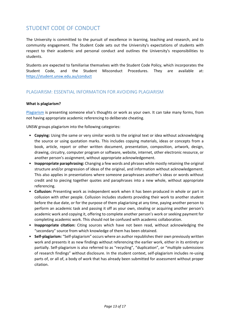## <span id="page-12-0"></span>STUDENT CODE OF CONDUCT

The University is committed to the pursuit of excellence in learning, teaching and research, and to community engagement. The Student Code sets out the University's expectations of students with respect to their academic and personal conduct and outlines the University's responsibilities to students.

Students are expected to familiarise themselves with the Student Code Policy, which incorporates the Student Code, and the Student Misconduct Procedures. They are available at: <https://student.unsw.edu.au/conduct>

#### <span id="page-12-1"></span>PLAGIARISM: ESSENTIAL INFORMATION FOR AVOIDING PLAGIARISM

#### **What is plagiarism?**

[Plagiarism](https://www.student.unsw.edu.au/plagiarism) is presenting someone else's thoughts or work as your own. It can take many forms, from not having appropriate academic referencing to deliberate cheating.

UNSW groups plagiarism into the following categories:

- **Copying:** Using the same or very similar words to the original text or idea without acknowledging the source or using quotation marks. This includes copying materials, ideas or concepts from a book, article, report or other written document, presentation, composition, artwork, design, drawing, circuitry, computer program or software, website, internet, other electronic resource, or another person's assignment, without appropriate acknowledgement.
- **Inappropriate paraphrasing:** Changing a few words and phrases while mostly retaining the original structure and/or progression of ideas of the original, and information without acknowledgement. This also applies in presentations where someone paraphrases another's ideas or words without credit and to piecing together quotes and paraphrases into a new whole, without appropriate referencing.
- **Collusion:** Presenting work as independent work when it has been produced in whole or part in collusion with other people. Collusion includes students providing their work to another student before the due date, or for the purpose of them plagiarising at any time, paying another person to perform an academic task and passing it off as your own, stealing or acquiring another person's academic work and copying it, offering to complete another person's work or seeking payment for completing academic work. This should not be confused with academic collaboration.
- **Inappropriate citation:** Citing sources which have not been read, without acknowledging the "secondary" source from which knowledge of them has been obtained.
- **Self-plagiarism:** "Self-plagiarism" occurs where an author republishes their own previously written work and presents it as new findings without referencing the earlier work, either in its entirety or partially. Self-plagiarism is also referred to as "recycling", "duplication", or "multiple submissions of research findings" without disclosure. In the student context, self-plagiarism includes re-using parts of, or all of, a body of work that has already been submitted for assessment without proper citation.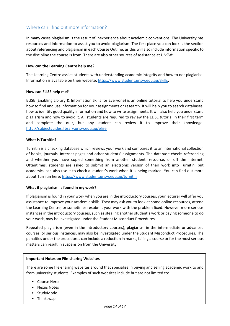#### <span id="page-13-0"></span>Where can I find out more information?

In many cases plagiarism is the result of inexperience about academic conventions. The University has resources and information to assist you to avoid plagiarism. The first place you can look is the section about referencing and plagiarism in each Course Outline, as this will also include information specific to the discipline the course is from. There are also other sources of assistance at UNSW:

#### **How can the Learning Centre help me?**

The Learning Centre assists students with understanding academic integrity and how to not plagiarise. Information is available on their website: [https://www.student.unsw.edu.au/skills.](https://www.student.unsw.edu.au/skills)

#### **How can ELISE help me?**

ELISE (Enabling Library & Information Skills for Everyone) is an online tutorial to help you understand how to find and use information for your assignments or research. It will help you to search databases, how to identify good quality information and how to write assignments. It will also help you understand plagiarism and how to avoid it. All students are required to review the ELISE tutorial in their first term and complete the quiz, but any student can review it to improve their knowledge: <http://subjectguides.library.unsw.edu.au/elise>

#### **What is Turnitin?**

Turnitin is a checking database which reviews your work and compares it to an international collection of books, journals, Internet pages and other students' assignments. The database checks referencing and whether you have copied something from another student, resource, or off the Internet. Oftentimes, students are asked to submit an electronic version of their work into Turnitin, but academics can also use it to check a student's work when it is being marked. You can find out more about Turnitin here:<https://www.student.unsw.edu.au/turnitin>

#### **What if plagiarism is found in my work?**

If plagiarism is found in your work when you are in the introductory courses, your lecturer will offer you assistance to improve your academic skills. They may ask you to look at some online resources, attend the Learning Centre, or sometimes resubmit your work with the problem fixed. However more serious instances in the introductory courses, such as stealing another student's work or paying someone to do your work, may be investigated under the Student Misconduct Procedures.

Repeated plagiarism (even in the introductory courses), plagiarism in the intermediate or advanced courses, or serious instances, may also be investigated under the Student Misconduct Procedures. The penalties under the procedures can include a reduction in marks, failing a course or for the most serious matters can result in suspension from the University.

#### **Important Notes on File-sharing Websites**

There are some file-sharing websites around that specialise in buying and selling academic work to and from university students. Examples of such websites include but are not limited to:

- Course Hero
- Nexus Notes
- StudyMode
- Thinkswap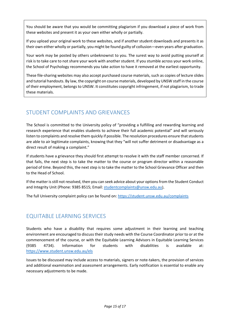You should be aware that you would be committing plagiarism if you download a piece of work from these websites and present it as your own either wholly or partially.

If you upload your original work to these websites, and if another student downloads and presents it as their own either wholly or partially, you might be found guilty of collusion—even years after graduation.

Your work may be posted by others unbeknownst to you. The surest way to avoid putting yourself at risk is to take care to not share your work with another student. If you stumble across your work online, the School of Psychology recommends you take action to have it removed at the earliest opportunity.

These file-sharing websites may also accept purchased course materials, such as copies of lecture slides and tutorial handouts. By law, the copyright on course materials, developed by UNSW staff in the course of their employment, belongs to UNSW. It constitutes copyright infringement, if not plagiarism, to trade these materials.

## <span id="page-14-0"></span>STUDENT COMPLAINTS AND GRIEVANCES

The School is committed to the University policy of "providing a fulfilling and rewarding learning and research experience that enables students to achieve their full academic potential" and will seriously listen to complaints and resolve them quickly if possible. The resolution procedures ensure that students are able to air legitimate complaints, knowing that they "will not suffer detriment or disadvantage as a direct result of making a complaint."

If students have a grievance they should first attempt to resolve it with the staff member concerned. If that fails, the next step is to take the matter to the course or program director within a reasonable period of time. Beyond this, the next step is to take the matter to the School Grievance Officer and then to the Head of School.

If the matter is still not resolved, then you can seek advice about your options from the Student Conduct and Integrity Unit (Phone: 9385 8515; Email: [studentcomplaints@unsw.edu.au\)](mailto:studentcomplaints@unsw.edu.au).

The full University complaint policy can be found on:<https://student.unsw.edu.au/complaints>

## <span id="page-14-1"></span>EQUITABLE LEARNING SERVICES

Students who have a disability that requires some adjustment in their learning and teaching environment are encouraged to discuss their study needs with the Course Coordinator prior to or at the commencement of the course, or with the Equitable Learning Advisors in Equitable Learning Services (9385 4734). Information for students with disabilities is available at: <https://www.student.unsw.edu.au/els>

Issues to be discussed may include access to materials, signers or note-takers, the provision of services and additional examination and assessment arrangements. Early notification is essential to enable any necessary adjustments to be made.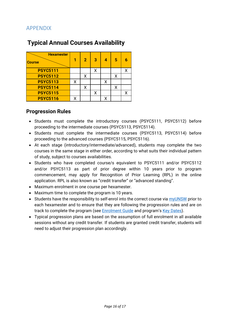## <span id="page-15-0"></span>APPENDIX

| <b>Hexamester</b><br><b>Course</b> |   | $\overline{\mathbf{2}}$ | з |   | 5 | 6 |
|------------------------------------|---|-------------------------|---|---|---|---|
| <b>PSYC5111</b>                    |   |                         | χ |   |   | X |
| <b>PSYC5112</b>                    |   | χ                       |   |   |   |   |
| <b>PSYC5113</b>                    | X |                         |   | χ |   |   |
| <b>PSYC5114</b>                    |   | Χ                       |   |   |   |   |
| <b>PSYC5115</b>                    |   |                         | χ |   |   | x |
| <b>PSYC5116</b>                    | χ |                         |   | x |   |   |

# **Typical Annual Courses Availability**

## **Progression Rules**

- Students must complete the introductory courses (PSYC5111, PSYC5112) before proceeding to the intermediate courses (PSYC5113, PSYC5114).
- Students must complete the intermediate courses (PSYC5113, PSYC5114) before proceeding to the advanced courses (PSYC5115, PSYC5116).
- At each stage (introductory/intermediate/advanced), students may complete the two courses in the same stage in either order, according to what suits their individual pattern of study, subject to courses availabilities.
- Students who have completed course/s equivalent to PSYC5111 and/or PSYC5112 and/or PSYC5113 as part of prior degree within 10 years prior to program commencement, may apply for Recognition of Prior Learning (RPL) in the online application. RPL is also known as "credit transfer" or "advanced standing".
- Maximum enrolment in one course per hexamester.
- Maximum time to complete the program is 10 years.
- Students have the responsibility to self-enrol into the correct course via [myUNSW](https://my.unsw.edu.au/) prior to each hexamester and to ensure that they are following the progression rules and are on track to complete the program (see **Enrolment Guide and program's Key Dates**).
- Typical progression plans are based on the assumption of full enrolment in all available sessions without any credit transfer. If students are granted credit transfer, students will need to adjust their progression plan accordingly.